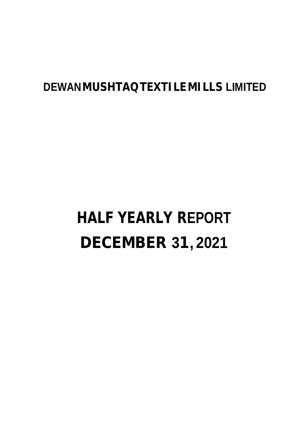# **DEWANMUSHTAQTEXTILE MILLS LIMITED**

# **HALF YEARLY REPORT DECEMBER 31, 2021**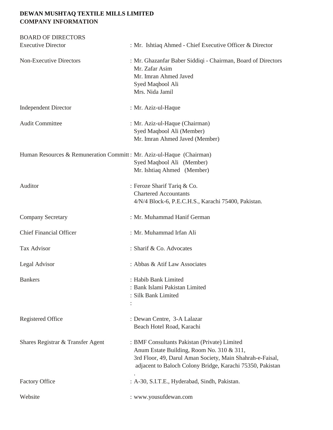### **DEWAN MUSHTAQ TEXTILE MILLS LIMITED COMPANY INFORMATION**

| <b>BOARD OF DIRECTORS</b>                                            |                                                                                                                                                                                                                     |
|----------------------------------------------------------------------|---------------------------------------------------------------------------------------------------------------------------------------------------------------------------------------------------------------------|
| <b>Executive Director</b>                                            | : Mr. Ishtiaq Ahmed - Chief Executive Officer & Director                                                                                                                                                            |
| <b>Non-Executive Directors</b>                                       | : Mr. Ghazanfar Baber Siddiqi - Chairman, Board of Directors<br>Mr. Zafar Asim<br>Mr. Imran Ahmed Javed<br>Syed Maqbool Ali<br>Mrs. Nida Jamil                                                                      |
| <b>Independent Director</b>                                          | : Mr. Aziz-ul-Haque                                                                                                                                                                                                 |
| <b>Audit Committee</b>                                               | : Mr. Aziz-ul-Haque (Chairman)<br>Syed Maqbool Ali (Member)<br>Mr. Imran Ahmed Javed (Member)                                                                                                                       |
| Human Resources & Remuneration Committ: Mr. Aziz-ul-Haque (Chairman) | Syed Maqbool Ali (Member)<br>Mr. Ishtiaq Ahmed (Member)                                                                                                                                                             |
| Auditor                                                              | : Feroze Sharif Tariq & Co.<br><b>Chartered Accountants</b><br>4/N/4 Block-6, P.E.C.H.S., Karachi 75400, Pakistan.                                                                                                  |
| <b>Company Secretary</b>                                             | : Mr. Muhammad Hanif German                                                                                                                                                                                         |
| <b>Chief Financial Officer</b>                                       | : Mr. Muhammad Irfan Ali                                                                                                                                                                                            |
| <b>Tax Advisor</b>                                                   | : Sharif & Co. Advocates                                                                                                                                                                                            |
| Legal Advisor                                                        | : Abbas & Atif Law Associates                                                                                                                                                                                       |
| <b>Bankers</b>                                                       | : Habib Bank Limited<br>: Bank Islami Pakistan Limited<br>: Silk Bank Limited                                                                                                                                       |
| <b>Registered Office</b>                                             | : Dewan Centre, 3-A Lalazar<br>Beach Hotel Road, Karachi                                                                                                                                                            |
| Shares Registrar & Transfer Agent                                    | : BMF Consultants Pakistan (Private) Limited<br>Anum Estate Building, Room No. 310 & 311,<br>3rd Floor, 49, Darul Aman Society, Main Shahrah-e-Faisal,<br>adjacent to Baloch Colony Bridge, Karachi 75350, Pakistan |
| <b>Factory Office</b>                                                | : A-30, S.I.T.E., Hyderabad, Sindh, Pakistan.                                                                                                                                                                       |
| Website                                                              | : www.yousufdewan.com                                                                                                                                                                                               |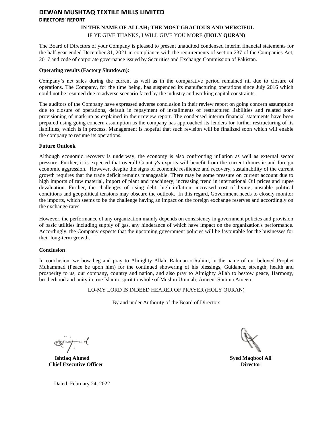### **DEWAN MUSHTAQ TEXTILE MILLS LIMITED DIRECTORS' REPORT**

#### **IN THE NAME OF ALLAH; THE MOST GRACIOUS AND MERCIFUL** IF YE GIVE THANKS, I WILL GIVE YOU MORE **(HOLY QURAN)**

The Board of Directors of your Company is pleased to present unaudited condensed interim financial statements for the half year ended December 31, 2021 in compliance with the requirements of section 237 of the Companies Act, 2017 and code of corporate governance issued by Securities and Exchange Commission of Pakistan.

#### **Operating results (Factory Shutdown):**

Company's net sales during the current as well as in the comparative period remained nil due to closure of operations. The Company, for the time being, has suspended its manufacturing operations since July 2016 which could not be resumed due to adverse scenario faced by the industry and working capital constraints.

The auditors of the Company have expressed adverse conclusion in their review report on going concern assumption due to closure of operations, default in repayment of installments of restructured liabilities and related nonprovisioning of mark-up as explained in their review report. The condensed interim financial statements have been prepared using going concern assumption as the company has approached its lenders for further restructuring of its liabilities, which is in process. Management is hopeful that such revision will be finalized soon which will enable the company to resume its operations.

#### **Future Outlook**

Although economic recovery is underway, the economy is also confronting inflation as well as external sector pressure. Further, it is expected that overall Country's exports will benefit from the current domestic and foreign economic aggression. However, despite the signs of economic resilience and recovery, sustainability of the current growth requires that the trade deficit remains manageable. There may be some pressure on current account due to high imports of raw material, import of plant and machinery, increasing trend in international Oil prices and rupee devaluation. Further, the challenges of rising debt, high inflation, increased cost of living, unstable political conditions and geopolitical tensions may obscure the outlook. In this regard, Government needs to closely monitor the imports, which seems to be the challenge having an impact on the foreign exchange reserves and accordingly on the exchange rates.

However, the performance of any organization mainly depends on consistency in government policies and provision of basic utilities including supply of gas, any hinderance of which have impact on the organization's performance. Accordingly, the Company expects that the upcoming government policies will be favourable for the businesses for their long-term growth.

#### **Conclusion**

In conclusion, we bow beg and pray to Almighty Allah, Rahman-o-Rahim, in the name of our beloved Prophet Muhammad (Peace be upon him) for the continued showering of his blessings, Guidance, strength, health and prosperity to us, our company, country and nation, and also pray to Almighty Allah to bestow peace, Harmony, brotherhood and unity in true Islamic spirit to whole of Muslim Ummah; Ameen: Summa Ameen

LO-MY LORD IS INDEED HEARER OF PRAYER (HOLY QURAN)

By and under Authority of the Board of Directors

**Ishtiaq Ahmed Chief Executive Officer**

**Syed Maqbool Ali Director**

Dated: February 24, 2022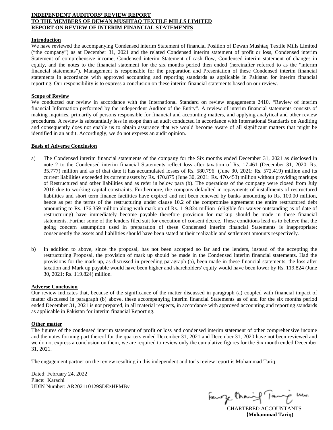#### **INDEPENDENT AUDITORS' REVIEW REPORT TO THE MEMBERS OF DEWAN MUSHTAQ TEXTILE MILLS LIMITED REPORT ON REVIEW OF INTERIM FINANCIAL STATEMENTS**

#### **Introduction**

We have reviewed the accompanying Condensed interim Statement of financial Position of Dewan Mushtaq Textile Mills Limited ("the company") as at December 31, 2021 and the related Condensed interim statement of profit or loss, Condensed interim Statement of comprehensive income, Condensed interim Statement of cash flow, Condensed interim statement of changes in equity, and the notes to the financial statement for the six months period then ended (hereinafter referred to as the "interim financial statements"). Management is responsible for the preparation and Presentation of these Condensed interim financial statements in accordance with approved accounting and reporting standards as applicable in Pakistan for interim financial reporting. Our responsibility is to express a conclusion on these interim financial statements based on our review.

#### **Scope of Review**

We conducted our review in accordance with the International Standard on review engagements 2410, "Review of interim financial Information performed by the independent Auditor of the Entity". A review of interim financial statements consists of making inquiries, primarily of persons responsible for financial and accounting matters, and applying analytical and other review procedures. A review is substantially less in scope than an audit conducted in accordance with International Standards on Auditing and consequently does not enable us to obtain assurance that we would become aware of all significant matters that might be identified in an audit. Accordingly, we do not express an audit opinion.

#### **Basis of Adverse Conclusion**

- a) The Condensed interim financial statements of the company for the Six months ended December 31, 2021 as disclosed in note 2 to the Condensed interim financial Statements reflect loss after taxation of Rs. 17.461 (December 31, 2020: Rs. 35.777) million and as of that date it has accumulated losses of Rs. 580.796 (June 30, 2021: Rs. 572.419) million and its current liabilities exceeded its current assets by Rs. 470.875 (June 30, 2021: Rs. 470.453) million without providing markups of Restructured and other liabilities and as refer in below para (b). The operations of the company were closed from July 2016 due to working capital constraints. Furthermore, the company defaulted in repayments of installments of restructured liabilities and short term finance facilities have expired and not been renewed by banks amounting to Rs. 100.00 million, hence as per the terms of the restructuring under clause 10.2 of the compromise agreement the entire restructured debt amounting to Rs. 176.359 million along with mark up of Rs. 119.824 million (eligible for waiver outstanding as of date of restructuring) have immediately become payable therefore provision for markup should be made in these financial statements. Further some of the lenders filed suit for execution of consent decree. These conditions lead us to believe that the going concern assumption used in preparation of these Condensed interim financial Statements is inappropriate; consequently the assets and liabilities should have been stated at their realizable and settlement amounts respectively.
- b) In addition to above, since the proposal, has not been accepted so far and the lenders, instead of the accepting the restructuring Proposal, the provision of mark up should be made in the Condensed interim financial statements. Had the provisions for the mark up, as discussed in preceding paragraph (a), been made in these financial statements, the loss after taxation and Mark up payable would have been higher and shareholders' equity would have been lower by Rs. 119.824 (June 30, 2021: Rs. 119.824) million.

#### **Adverse Conclusion**

Our review indicates that, because of the significance of the matter discussed in paragraph (a) coupled with financial impact of matter discussed in paragraph (b) above, these accompanying interim financial Statements as of and for the six months period ended December 31, 2021 is not prepared, in all material respects, in accordance with approved accounting and reporting standards as applicable in Pakistan for interim financial Reporting.

#### **Other matter**

The figures of the condensed interim statement of profit or loss and condensed interim statement of other comprehensive income and the notes forming part thereof for the quarters ended December 31, 2021 and December 31, 2020 have not been reviewed and we do not express a conclusion on them, we are required to review only the cumulative figures for the Six month ended December 31, 2021.

The engagement partner on the review resulting in this independent auditor's review report is Mohammad Tariq.

Dated: February 24, 2022 Place: Karachi UDIN Number: AR202110129SDEzHPMBv

Fewry than

CHARTERED ACCOUNTANTS **(Mohammad Tariq)**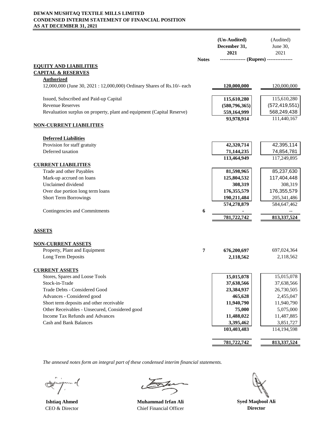#### **DEWAN MUSHTAQ TEXTILE MILLS LIMITED CONDENSED INTERIM STATEMENT OF FINANCIAL POSITION AS AT DECEMBER 31, 2021**

|                                                                        |              | (Un-Audited)<br>December 31,<br>2021     | (Audited)<br>June 30,<br>2021 |
|------------------------------------------------------------------------|--------------|------------------------------------------|-------------------------------|
|                                                                        | <b>Notes</b> | --------------- (Rupees) --------------- |                               |
| <b>EQUITY AND LIABILITIES</b>                                          |              |                                          |                               |
| <b>CAPITAL &amp; RESERVES</b><br><b>Authorized</b>                     |              |                                          |                               |
| 12,000,000 (June 30, 2021: 12,000,000) Ordinary Shares of Rs.10/- each |              | <u>120,000,000</u>                       | 120,000,000                   |
| Issued, Subscribed and Paid-up Capital                                 |              | 115,610,280                              | 115,610,280                   |
| <b>Revenue Reserves</b>                                                |              | (580, 796, 365)                          | (572, 419, 551)               |
| Revaluation surplus on property, plant and equipment (Capital Reserve) |              | 559,164,999                              | 568,249,438                   |
| <b>NON-CURRENT LIABILITIES</b>                                         |              | 93,978,914                               | 111,440,167                   |
|                                                                        |              |                                          |                               |
| <b>Deferred Liabilities</b>                                            |              |                                          |                               |
| Provision for staff gratuity                                           |              | 42,320,714                               | 42,395,114                    |
| Deferred taxation                                                      |              | 71,144,235<br>113,464,949                | 74,854,781<br>117,249,895     |
| <b>CURRENT LIABILITIES</b>                                             |              |                                          |                               |
| Trade and other Payables                                               |              | 81,598,965                               | 85,237,630                    |
| Mark-up accrued on loans                                               |              | 125,804,532                              | 117,404,448                   |
| Unclaimed dividend                                                     |              | 308,319                                  | 308,319                       |
| Over due portion long term loans                                       |              | 176,355,579                              | 176,355,579                   |
| <b>Short Term Borrowings</b>                                           |              | 190,211,484                              | 205, 341, 486                 |
|                                                                        |              | 574,278,879                              | 584,647,462                   |
| Contingencies and Commitments                                          | 6            |                                          |                               |
|                                                                        |              | 781,722,742                              | 813,337,524                   |
| <b>ASSETS</b>                                                          |              |                                          |                               |
| <b>NON-CURRENT ASSETS</b>                                              |              |                                          |                               |
| Property, Plant and Equipment                                          | 7            | 676,200,697                              | 697,024,364                   |
| Long Term Deposits                                                     |              | 2,118,562                                | 2,118,562                     |
|                                                                        |              |                                          |                               |
| <b>CURRENT ASSETS</b>                                                  |              | 15,015,078                               |                               |
| Stores, Spares and Loose Tools<br>Stock-in-Trade                       |              | 37,638,566                               | 15,015,078<br>37,638,566      |
| Trade Debts - Considered Good                                          |              | 23,384,937                               | 26,730,505                    |
| Advances - Considered good                                             |              | 465,628                                  | 2,455,047                     |
| Short term deposits and other receivable                               |              | 11,940,790                               | 11,940,790                    |
| Other Receivables - Unsecured, Considered good                         |              | 75,000                                   | 5,075,000                     |
| Income Tax Refunds and Advances                                        |              | 11,488,022                               | 11,487,885                    |
| <b>Cash and Bank Balances</b>                                          |              | 3,395,462                                | 3,851,727                     |
|                                                                        |              | 103,403,483                              | 114,194,598                   |
|                                                                        |              | 781,722,742                              |                               |
|                                                                        |              |                                          | 813, 337, 524                 |

m o(  $\ll$ 

**Ishtiaq Ahmed Muhammad Irfan Ali** CEO & Director Chief Financial Officer

**Syed Maqbool Ali Director**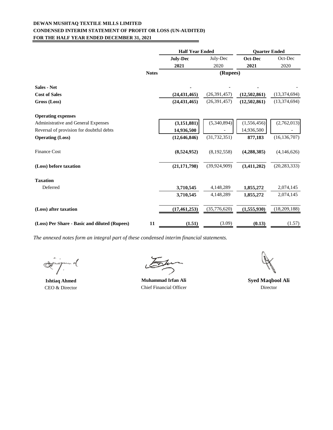#### **DEWAN MUSHTAQ TEXTILE MILLS LIMITED CONDENSED INTERIM STATEMENT OF PROFIT OR LOSS (UN-AUDITED) FOR THE HALF YEAR ENDED DECEMBER 31, 2021** ▃

|                                               |              | <b>Half Year Ended</b> |                | <b>Quarter Ended</b> |                |
|-----------------------------------------------|--------------|------------------------|----------------|----------------------|----------------|
|                                               |              | July-Dec               | July-Dec       | Oct-Dec              | Oct-Dec        |
|                                               |              | 2021                   | 2020           | 2021                 | 2020           |
|                                               | <b>Notes</b> |                        | (Rupees)       |                      |                |
| <b>Sales - Net</b>                            |              |                        |                |                      |                |
| <b>Cost of Sales</b>                          |              | (24, 431, 465)         | (26, 391, 457) | (12,502,861)         | (13,374,694)   |
| Gross (Loss)                                  |              | (24, 431, 465)         | (26, 391, 457) | (12,502,861)         | (13,374,694)   |
| <b>Operating expenses</b>                     |              |                        |                |                      |                |
| Administrative and General Expenses           |              | (3, 151, 881)          | (5,340,894)    | (1, 556, 456)        | (2,762,013)    |
| Reversal of provision for doubtful debts      |              | 14,936,500             |                | 14,936,500           |                |
| <b>Operating (Loss)</b>                       |              | (12,646,846)           | (31, 732, 351) | 877,183              | (16, 136, 707) |
| <b>Finance Cost</b>                           |              | (8,524,952)            | (8,192,558)    | (4, 288, 385)        | (4,146,626)    |
| (Loss) before taxation                        |              | (21, 171, 798)         | (39, 924, 909) | (3,411,202)          | (20, 283, 333) |
| <b>Taxation</b>                               |              |                        |                |                      |                |
| Deferred                                      |              | 3,710,545              | 4,148,289      | 1,855,272            | 2,074,145      |
|                                               |              | 3,710,545              | 4,148,289      | 1,855,272            | 2,074,145      |
| (Loss) after taxation                         |              | (17, 461, 253)         | (35,776,620)   | (1, 555, 930)        | (18,209,188)   |
| (Loss) Per Share - Basic and diluted (Rupees) | 11           | (1.51)                 | (3.09)         | (0.13)               | (1.57)         |

n o(

**Ishtiaq Ahmed** CEO & Director

<del>os</del>ta

**Muhammad Irfan Ali** Chief Financial Officer

Director **Syed Maqbool Ali**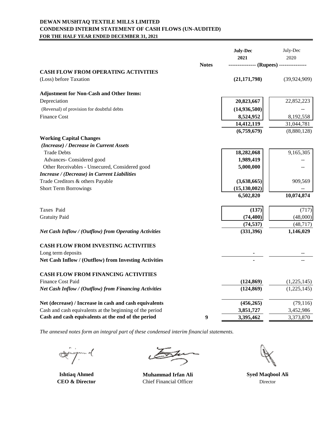#### **DEWAN MUSHTAQ TEXTILE MILLS LIMITED CONDENSED INTERIM STATEMENT OF CASH FLOWS (UN-AUDITED) FOR THE HALF YEAR ENDED DECEMBER 31, 2021**

|                                                                      |              | <b>July-Dec</b><br>2021 | July-Dec<br>2020 |
|----------------------------------------------------------------------|--------------|-------------------------|------------------|
|                                                                      | <b>Notes</b> |                         |                  |
| <b>CASH FLOW FROM OPERATING ACTIVITIES</b><br>(Loss) before Taxation |              | (21, 171, 798)          | (39, 924, 909)   |
| <b>Adjustment for Non-Cash and Other Items:</b>                      |              |                         |                  |
| Depreciation                                                         |              | 20,823,667              | 22,852,223       |
| (Reversal) of provision for doubtful debts                           |              | (14,936,500)            |                  |
| <b>Finance Cost</b>                                                  |              | 8,524,952               | 8,192,558        |
|                                                                      |              | 14,412,119              | 31,044,781       |
|                                                                      |              | (6,759,679)             | (8,880,128)      |
| <b>Working Capital Changes</b>                                       |              |                         |                  |
| (Increase) / Decrease in Current Assets                              |              |                         |                  |
| <b>Trade Debts</b>                                                   |              | 18,282,068              | 9,165,305        |
| Advances- Considered good                                            |              | 1,989,419               |                  |
| Other Receivables - Unsecured, Considered good                       |              | 5,000,000               |                  |
| Increase / (Decrease) in Current Liabilities                         |              |                         |                  |
| Trade Creditors & others Payable                                     |              | (3,638,665)             | 909,569          |
| <b>Short Term Borrowings</b>                                         |              | (15, 130, 002)          |                  |
|                                                                      |              | 6,502,820               | 10,074,874       |
| Taxes Paid                                                           |              | (137)                   | (717)            |
| <b>Gratuity Paid</b>                                                 |              | (74, 400)               | (48,000)         |
|                                                                      |              | (74, 537)               | (48, 717)        |
| Net Cash Inflow / (Outflow) from Operating Activities                |              | (331, 396)              | 1,146,029        |
| <b>CASH FLOW FROM INVESTING ACTIVITIES</b>                           |              |                         |                  |
| Long term deposits                                                   |              |                         |                  |
| Net Cash Inflow / (Outflow) from Investing Activities                |              |                         |                  |
| <b>CASH FLOW FROM FINANCING ACTIVITIES</b>                           |              |                         |                  |
| <b>Finance Cost Paid</b>                                             |              | (124, 869)              | (1,225,145)      |
| Net Cash Inflow / (Outflow) from Financing Activities                |              | (124, 869)              | (1,225,145)      |
| Net (decrease) / Increase in cash and cash equivalents               |              | (456, 265)              | (79, 116)        |
| Cash and cash equivalents at the beginning of the period             |              | 3,851,727               | 3,452,986        |
| Cash and cash equivalents at the end of the period                   | 9            | 3,395,462               | 3,373,870        |

.<br>J.m.d

**Ishtiaq Ahmed CEO & Director**

 $\stackrel{\text{Za}}{\rightarrow}$ 

**Muhammad Irfan Ali** Chief Financial Officer

**Syed Maqbool Ali** Director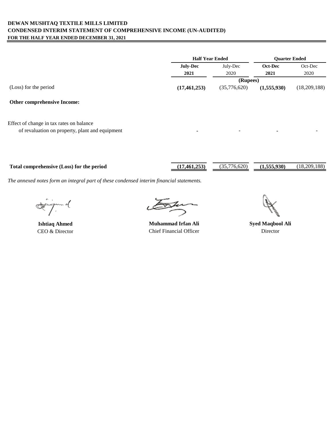#### **DEWAN MUSHTAQ TEXTILE MILLS LIMITED CONDENSED INTERIM STATEMENT OF COMPREHENSIVE INCOME (UN-AUDITED) FOR THE HALF YEAR ENDED DECEMBER 31, 2021**

|                                          | <b>Half Year Ended</b> |              | <b>Ouarter Ended</b> |              |
|------------------------------------------|------------------------|--------------|----------------------|--------------|
|                                          | <b>July-Dec</b>        | July-Dec     | Oct-Dec              | Oct-Dec      |
|                                          | 2021                   | 2020         | 2021                 | 2020         |
|                                          |                        | (Rupees)     |                      |              |
| (Loss) for the period                    | (17, 461, 253)         | (35,776,620) | (1,555,930)          | (18,209,188) |
| <b>Other comprehensive Income:</b>       |                        |              |                      |              |
| Effect of change in tax rates on balance |                        |              |                      |              |

of revaluation on property, plant and equipment

Total comprehensive (Loss) for the period (17,461,253) (35,776,620) (1,555,930) (18,209,188)

ingen of

**Ishtiaq Ahmed** CEO & Director

Ju

**Muhammad Irfan Ali** Chief Financial Officer

**Syed Maqbool Ali** Director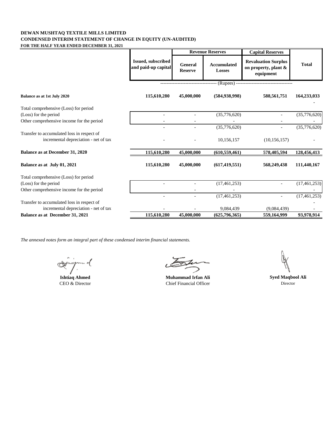#### **DEWAN MUSHTAQ TEXTILE MILLS LIMITED CONDENSED INTERIM STATEMENT OF CHANGE IN EQUITY (UN-AUDITED) FOR THE HALF YEAR ENDED DECEMBER 31, 2021**

|                                                                                     |                                                  |                                  | <b>Revenue Reserves</b>             | <b>Capital Reserves</b>                                         |                |
|-------------------------------------------------------------------------------------|--------------------------------------------------|----------------------------------|-------------------------------------|-----------------------------------------------------------------|----------------|
|                                                                                     | <b>Issued, subscribed</b><br>and paid-up capital | <b>General</b><br><b>Reserve</b> | <b>Accumulated</b><br><b>Losses</b> | <b>Revaluation Surplus</b><br>on property, plant &<br>equipment | <b>Total</b>   |
|                                                                                     |                                                  |                                  |                                     | (Rupees) -------------------------                              |                |
| Balance as at 1st July 2020                                                         | 115,610,280                                      | 45,000,000                       | (584, 938, 998)                     | 588,561,751                                                     | 164,233,033    |
| Total comprehensive (Loss) for period                                               |                                                  |                                  |                                     |                                                                 |                |
| (Loss) for the period                                                               |                                                  |                                  | (35,776,620)                        |                                                                 | (35,776,620)   |
| Other comprehensive income for the period                                           |                                                  |                                  |                                     |                                                                 |                |
|                                                                                     |                                                  |                                  | (35,776,620)                        |                                                                 | (35,776,620)   |
| Transfer to accumulated loss in respect of<br>incremental depreciation - net of tax |                                                  |                                  | 10,156,157                          | (10, 156, 157)                                                  |                |
| Balance as at December 31, 2020                                                     | 115,610,280                                      | 45,000,000                       | (610, 559, 461)                     | 578,405,594                                                     | 128,456,413    |
| Balance as at July 01, 2021                                                         | 115,610,280                                      | 45,000,000                       | (617, 419, 551)                     | 568,249,438                                                     | 111,440,167    |
| Total comprehensive (Loss) for period                                               |                                                  |                                  |                                     |                                                                 |                |
| (Loss) for the period                                                               |                                                  |                                  | (17, 461, 253)                      |                                                                 | (17, 461, 253) |
| Other comprehensive income for the period                                           |                                                  |                                  |                                     |                                                                 |                |
|                                                                                     |                                                  |                                  | (17, 461, 253)                      |                                                                 | (17, 461, 253) |
| Transfer to accumulated loss in respect of                                          |                                                  |                                  |                                     |                                                                 |                |
| incremental depreciation - net of tax<br>Balance as at December 31, 2021            | 115,610,280                                      | 45,000,000                       | 9,084,439                           | (9,084,439)<br>559,164,999                                      | 93,978,914     |
|                                                                                     |                                                  |                                  | (625, 796, 365)                     |                                                                 |                |

inn of<br>T **CAL-**

**Ishtiaq Ahmed Muhammad Irfan Ali** CEO & Director Chief Financial Officer

**Syed Maqbool Ali** Director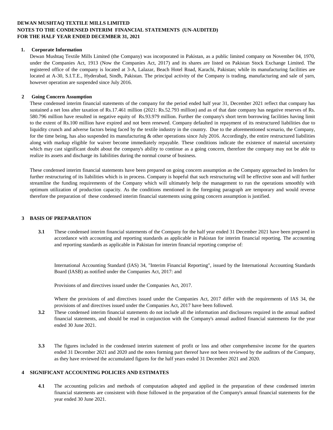#### **DEWAN MUSHTAQ TEXTILE MILLS LIMITED NOTES TO THE CONDENSED INTERIM FINANCIAL STATEMENTS (UN-AUDITED) FOR THE HALF YEAR ENDED DECEMBER 31, 2021**

#### **1. Corporate Information**

Dewan Mushtaq Textile Mills Limited (the Company) was incorporated in Pakistan, as a public limited company on November 04, 1970, under the Companies Act, 1913 (Now the Companies Act, 2017) and its shares are listed on Pakistan Stock Exchange Limited. The registered office of the company is located at 3-A, Lalazar, Beach Hotel Road, Karachi, Pakistan; while its manufacturing facilities are located at A-30, S.I.T.E., Hyderabad, Sindh, Pakistan. The principal activity of the Company is trading, manufacturing and sale of yarn, however operation are suspended since July 2016.

#### **2 Going Concern Assumption**

These condensed interim financial statements of the company for the period ended half year 31, December 2021 reflect that company has sustained a net loss after taxation of Rs.17.461 million (2021: Rs.52.793 million) and as of that date company has negative reserves of Rs. 580.796 million have resulted in negative equity of Rs.93.979 million. Further the company's short term borrowing facilities having limit to the extent of Rs.100 million have expired and not been renewed. Company defaulted in repayment of its restructured liabilities due to liquidity crunch and adverse factors being faced by the textile industry in the country. Due to the aforementioned scenario, the Company, for the time being, has also suspended its manufacturing & other operations since July 2016. Accordingly, the entire restructured liabilities along with markup eligible for waiver become immediately repayable. These conditions indicate the existence of material uncertainty which may cast significant doubt about the company's ability to continue as a going concern, therefore the company may not be able to realize its assets and discharge its liabilities during the normal course of business.

These condensed interim financial statements have been prepared on going concern assumption as the Company approached its lenders for further restructuring of its liabilities which is in process. Company is hopeful that such restructuring will be effective soon and will further streamline the funding requirements of the Company which will ultimately help the management to run the operations smoothly with optimum utilization of production capacity. As the conditions mentioned in the foregoing paragraph are temporary and would reverse therefore the preparation of these condensed interim financial statements using going concern assumption is justified.

#### **3 BASIS OF PREPARATION**

**3.1** These condensed interim financial statements of the Company for the half year ended 31 December 2021 have been prepared in accordance with accounting and reporting standards as applicable in Pakistan for interim financial reporting. The accounting and reporting standards as applicable in Pakistan for interim financial reporting comprise of:

International Accounting Standard (IAS) 34, "Interim Financial Reporting", issued by the International Accounting Standards Board (IASB) as notified under the Companies Act, 2017: and

Provisions of and directives issued under the Companies Act, 2017.

Where the provisions of and directives issued under the Companies Act, 2017 differ with the requirements of IAS 34, the provisions of and directives issued under the Companies Act, 2017 have been followed.

- **3.2** These condensed interim financial statements do not include all the information and disclosures required in the annual audited financial statements, and should be read in conjunction with the Company's annual audited financial statements for the year ended 30 June 2021.
- **3.3** The figures included in the condensed interim statement of profit or loss and other comprehensive income for the quarters ended 31 December 2021 and 2020 and the notes forming part thereof have not been reviewed by the auditors of the Company, as they have reviewed the accumulated figures for the half years ended 31 December 2021 and 2020.

#### **4 SIGNIFICANT ACCOUNTING POLICIES AND ESTIMATES**

**4.1** The accounting policies and methods of computation adopted and applied in the preparation of these condensed interim financial statements are consistent with those followed in the preparation of the Company's annual financial statements for the year ended 30 June 2021.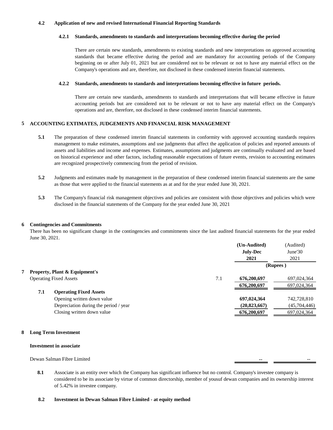#### **4.2 Application of new and revised International Financial Reporting Standards**

#### **4.2.1 Standards, amendments to standards and interpretations becoming effective during the period**

There are certain new standards, amendments to existing standards and new interpretations on approved accounting standards that became effective during the period and are mandatory for accounting periods of the Company beginning on or after July 01, 2021 but are considered not to be relevant or not to have any material effect on the Company's operations and are, therefore, not disclosed in these condensed interim financial statements.

#### **4.2.2 Standards, amendments to standards and interpretations becoming effective in future periods.**

There are certain new standards, amendments to standards and interpretations that will became effective in future accounting periods but are considered not to be relevant or not to have any material effect on the Company's operations and are, therefore, not disclosed in these condensed interim financial statements.

#### **5 ACCOUNTING EXTIMATES, JUDGEMENTS AND FINANCIAL RISK MANAGEMENT**

- **5.1** The preparation of these condensed interim financial statements in conformity with approved accounting standards requires management to make estimates, assumptions and use judgments that affect the application of policies and reported amounts of assets and liabilities and income and expenses. Estimates, assumptions and judgments are continually evaluated and are based on historical experience and other factors, including reasonable expectations of future events, revision to accounting estimates are recognized prospectively commencing from the period of revision.
- **5.2** Judgments and estimates made by management in the preparation of these condensed interim financial statements are the same as those that were applied to the financial statements as at and for the year ended June 30, 2021.
- **5.3** The Company's financial risk management objectives and policies are consistent with those objectives and policies which were disclosed in the financial statements of the Company for the year ended June 30, 2021

#### **6 Contingencies and Commitments**

There has been no significant change in the contingencies and commitments since the last audited financial statements for the year ended June 30, 2021.

|     |                                          |     | (Un-Audited)    | (Audited)    |
|-----|------------------------------------------|-----|-----------------|--------------|
|     |                                          |     | <b>July-Dec</b> | June $30$    |
|     |                                          |     | 2021            | 2021         |
|     |                                          |     | (Rupees)        |              |
|     | <b>Property, Plant &amp; Equipment's</b> |     |                 |              |
|     | <b>Operating Fixed Assets</b>            | 7.1 | 676,200,697     | 697,024,364  |
|     |                                          |     | 676,200,697     | 697,024,364  |
| 7.1 | <b>Operating Fixed Assets</b>            |     |                 |              |
|     | Opening written down value               |     | 697,024,364     | 742,728,810  |
|     | Depreciation during the period / year    |     | (20, 823, 667)  | (45,704,446) |
|     | Closing written down value               |     | 676,200,697     | 697,024,364  |
|     |                                          |     |                 |              |

#### **8 Long Term Investment**

#### **Investment in associate**

Dewan Salman Fibre Limited

**8.1** Associate is an entity over which the Company has significant influence but no control. Company's investee company is considered to be its associate by virtue of common directorship, member of yousuf dewan companies and its ownership interest of 5.42% in investee company.

#### **8.2 Investment in Dewan Salman Fibre Limited - at equity method**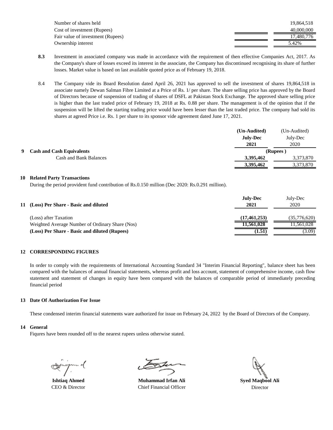| Number of shares held             | 19.864.518 |
|-----------------------------------|------------|
| Cost of investment (Rupees)       | 40,000,000 |
| Fair value of investment (Rupees) | 17.480.776 |
| Ownership interest                | 5.42%      |

- **8.3** Investment in associated company was made in accordance with the requirement of then effective Companies Act, 2017. As the Company's share of losses exceed its interest in the associate, the Company has discontinued recognising its share of further losses. Market value is based on last available quoted price as of February 19, 2018.
- 8.4 The Company vide its Board Resolution dated April 26, 2021 has approved to sell the investment of shares 19,864,518 in associate namely Dewan Salman Fibre Limited at a Price of Rs. 1/ per share. The share selling price has approved by the Board of Directors because of suspension of trading of shares of DSFL at Pakistan Stock Exchange. The approved share selling price is higher than the last traded price of February 19, 2018 at Rs. 0.88 per share. The management is of the opinion that if the suspension will be lifted the starting trading price would have been lesser than the last traded price. The company had sold its shares at agreed Price i.e. Rs. 1 per share to its sponsor vide agreement dated June 17, 2021.

|   |                                  | (Un-Audited)    | (Un-Audited) |
|---|----------------------------------|-----------------|--------------|
|   |                                  | <b>July-Dec</b> | July-Dec     |
|   |                                  | 2021            | 2020         |
| 9 | <b>Cash and Cash Equivalents</b> |                 | (Rupees)     |
|   | Cash and Bank Balances           | 3,395,462       | 3,373,870    |
|   |                                  | 3,395,462       | 3,373,870    |

#### **10 Related Party Transactions**

During the period provident fund contribution of Rs.0.150 million (Dec 2020: Rs.0.291 million).

| 11 (Loss) Per Share - Basic and diluted         | <b>July-Dec</b><br>2021 | July-Dec<br>2020 |
|-------------------------------------------------|-------------------------|------------------|
| (Loss) after Taxation                           | (17, 461, 253)          | (35,776,620)     |
| Weighted Average Number of Ordinary Share (Nos) | 11,561,028              | 1.561.028        |
| (Loss) Per Share - Basic and diluted (Rupees)   | (1.51)                  | (3.09)           |

#### **12 CORRESPONDING FIGURES**

In order to comply with the requirements of International Accounting Standard 34 "Interim Financial Reporting", balance sheet has been compared with the balances of annual financial statements, whereas profit and loss account, statement of comprehensive income, cash flow statement and statement of changes in equity have been compared with the balances of comparable period of immediately preceding financial period

#### **13 Date Of Authorization For Issue**

These condensed interim financial statements ware authorized for issue on February 24, 2022 by the Board of Directors of the Company.

#### **14 General**

Fiqures have been rounded off to the nearest rupees unless otherwise stated.

**Ishtiaq Ahmed** CEO & Director

**Muhammad Irfan Ali** Chief Financial Officer

**Syed Maqbool Ali** Director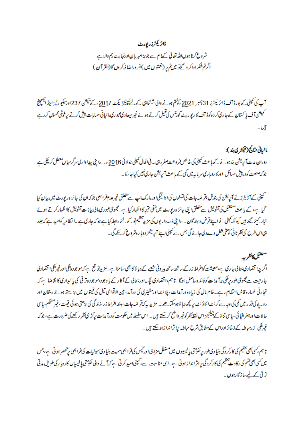### ڈائر یکٹرزر پورٹ

شروع کرتا ہوں اللہ تعالیٰ کے ام ہے جو بڑامہر بان اورنہایت رحم والا ہے اگرتم شکرا داکر و گےتو میں تم پر (نعمتوں میں )ضروراضا فہ کروں گا (القرآن )

آپ کی کمپنی کے بورڈ آف ڈائر یکٹرز 31 دسمبر 2021 کوشتم ہونے والی ششاہی کے لئے کپینیزا یکٹ 2017ء کے کیشن 237اور کیلیو رٹیز اینڈ ایکچینج ئمیش آف پا کسان کے جاری کر دہ کوڈ آف کا ریو ریٹ گورننس کی تنمیل کرتے ہوئے غیر میعادی عبوری**،**الیاتی حسابات پیش کرنے پرخوشی محسو*ں کر د*ے تيں۔

### مالياتي نتائج (ڤيلمري بند):

دوران مدت آپریش بند ہونے کے باعث کمپنی کی خالص فروخت صفر رہی۔ فی الحال کمپنی جولائی 2016 مرے اپنی پیداوا ری سرگرمیاں معطل کر چکی ہے جو کہ صنعت کو در پیش مسائل اور کا روبار کی سر ماپیہ میں کمی کے با عث آپریشن جاری نہیں کیا جاسکا۔

سمپنی کے آڈیٹرز نے آپریشن کی بندش بقر ضدجات کی تشطوں کی ا دائیگیا ور مارک اپ ہے متعلق غیرعدم فراہمی جوکہ ان کی جائز ہ ریورٹ میں بیان کیا حمیا ہے، کے باعث متعقبل کی تشویش ہے متعلق اپنی جائز ہ رپورٹ میں منفی متیجہ کااظہار کیا ہے۔مجموعی عبوری مالی بیانا ت تشویش کااظہار کرتے ہوئے تیار کیئے گئے ہیں کیونکہ کپنی نے اپنے قرض دہندگان ہےا پی ذمہ داریوں کی مزید تنظیم نوکے لئے رابطہ کیا ہے۔جوکہ جاری ہے ۔انظامیہ کوامید ہے کہ جلد ہی اس طرح کی نظر ٹانی کو حتمی شکل دے دی جائے گی جس سے کمپنی اپنے آپریشنز دوبا رہٹر وع کر سکے گی ۔

## متعقبل كأنظربية

اگر چہ اقتصادی بحالی جاری ہے،معیشت کوافراط زر کے ساتھ ساتھ ہیرونی شعبے کے دباؤ کا بھی سامنا ہے۔مزید تو قع ہے کہ موجود ہلکی اورغیرملکی اقتصادی جارحیت ہے مجموعی طور پر ملکی برآ مدات کو فائد ہ حاصل ہوگا۔ نا ہم،اقتصادی لیگ اور بحالی کے آثا رکے با وجود،موجود ہتر قی کی پائیداری کا تقاضا ہے کہ خبارتی خسارہ قابل انتظام رہے۔خام مال کی زیادہ درآمدات، پلانٹ اور مشینری کی درآمد، بین الاقوامی تیل کی قیمتوں میں بڑھتے ہوئے رجحان اور روپے کی قدر میں کمی کی وجہ ہے کرنٹ ا کاؤنٹ پر کچھ دبا وہوسکتا ھے ۔ مزید پہ کہ قر ضہ جات ،بلند افراط زر،زندگی کی بڑھتی ہوئی قیمت ،غیرمشحکم سای حالات!ورجغرافیائی سایی تناؤ کے چیلنجز اس نقط نظر کوغیر واضح کر سکتے ہیں ۔ اس سلسلے میں حکومت کودرآ مدات پرکڑ می نظر رکھنے کی ضرورت ہے، جو کہ غیرملکی زرمباطہ کے ذخائر اوراس کے مطابق شرح مباطہ براثراندا زہو سکتے ہیں۔

تا ہم ،کسی بھی تنظیم کی کارکر دگی بنیا دی طور پر حکومتی پالیسیوں میں معنواتی اور <sup>تی</sup>س کی فراہمی کے مختصر ہوتی ہے ،جس میں کسی بھی تھم کی اور سے تنظیم کی کارکردگی پراثرا نداز ہوتی ہے۔اسی مناسبت ہے، کمپنی امید کرتی ہے کہ آنے والی حکومتی پالیسیاں کاروبا رکی طویل مدتی تر تی کے لیےسازگارہو**ں**۔